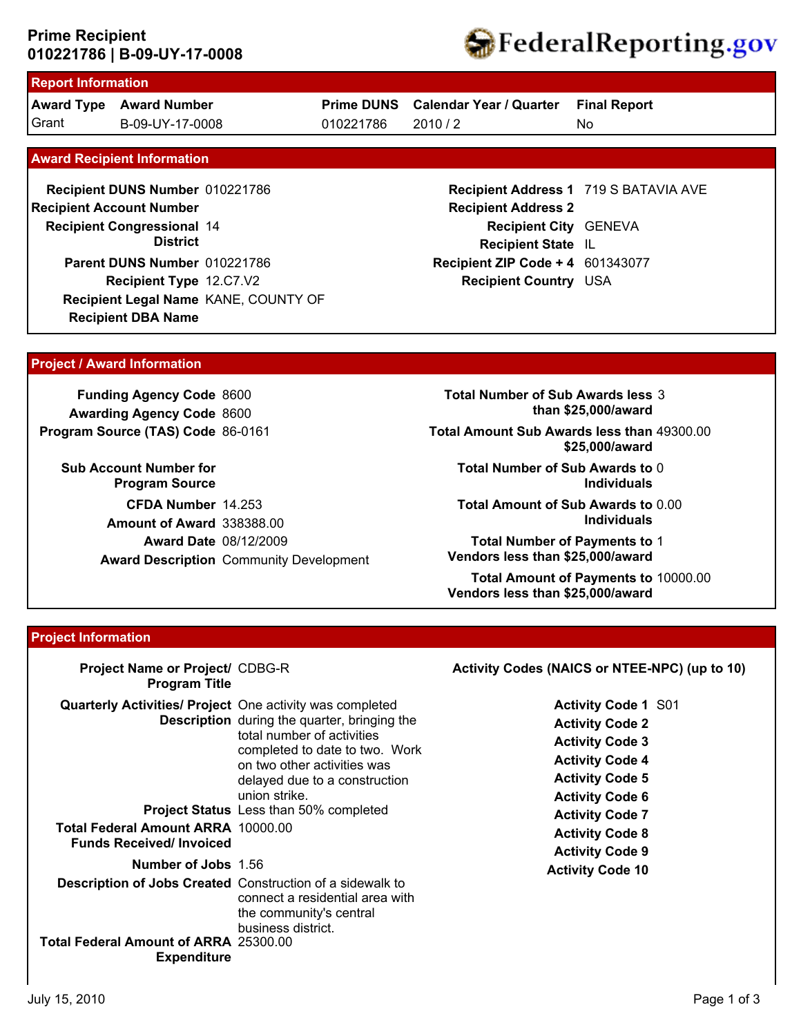### **010221786 | B-09-UY-17-0008 Prime Recipient**



# **Report Information**

**Award Type Award Number** Grant B-09-UY-17-0008 010221786 2010 / 2

**Prime DUNS Calendar Year / Quarter**

010221786

**Final Report**

No

#### **Award Recipient Information**

**Recipient DBA Name Recipient DUNS Number** 010221786 **Recipient Congressional 14 Recipient Account Number District Recipient Type** 12.C7.V2 **Parent DUNS Number** 010221786 **Recipient Legal Name** KANE, COUNTY OF

### **Recipient Address 1** 719 S BATAVIA AVE **Recipient Address 2 Recipient City** GENEVA **Recipient State** IL **Recipient ZIP Code + 4** 601343077 **Recipient Country** USA

#### **Project / Award Information**

**Funding Agency Code** 8600 **Awarding Agency Code** 8600 **Program Source (TAS) Code** 86-0161

**Sub Account Number for Program Source CFDA Number** 14.253 **Award Date** 08/12/2009 **Award Description** Community Development **Amount of Award** 338388.00

**Total Number of Sub Awards less** 3 **than \$25,000/award**

**Total Amount Sub Awards less than** 49300.00 **\$25,000/award**

**Total Number of Sub Awards to** 0 **Individuals**

**Total Amount of Sub Awards to** 0.00 **Individuals**

**Total Number of Payments to** 1 **Vendors less than \$25,000/award**

**Total Amount of Payments to** 10000.00 **Vendors less than \$25,000/award**

#### **Project Information**

| Project Name or Project/ CDBG-R<br><b>Program Title</b>                                                                                                       |                                                                                                                                                                                                                                                       | Activity Codes (NAICS or NTEE-NPC) (up to 10)                                                                                                                                                                                              |
|---------------------------------------------------------------------------------------------------------------------------------------------------------------|-------------------------------------------------------------------------------------------------------------------------------------------------------------------------------------------------------------------------------------------------------|--------------------------------------------------------------------------------------------------------------------------------------------------------------------------------------------------------------------------------------------|
| <b>Quarterly Activities/ Project</b> One activity was completed<br><b>Total Federal Amount ARRA 10000.00</b><br><b>Funds Received/Invoiced</b>                | <b>Description</b> during the quarter, bringing the<br>total number of activities<br>completed to date to two. Work<br>on two other activities was<br>delayed due to a construction<br>union strike.<br><b>Project Status</b> Less than 50% completed | <b>Activity Code 1 S01</b><br><b>Activity Code 2</b><br><b>Activity Code 3</b><br><b>Activity Code 4</b><br><b>Activity Code 5</b><br><b>Activity Code 6</b><br><b>Activity Code 7</b><br><b>Activity Code 8</b><br><b>Activity Code 9</b> |
| <b>Number of Jobs 1.56</b><br>Description of Jobs Created Construction of a sidewalk to<br><b>Total Federal Amount of ARRA 25300.00</b><br><b>Expenditure</b> | connect a residential area with<br>the community's central<br>business district.                                                                                                                                                                      | <b>Activity Code 10</b>                                                                                                                                                                                                                    |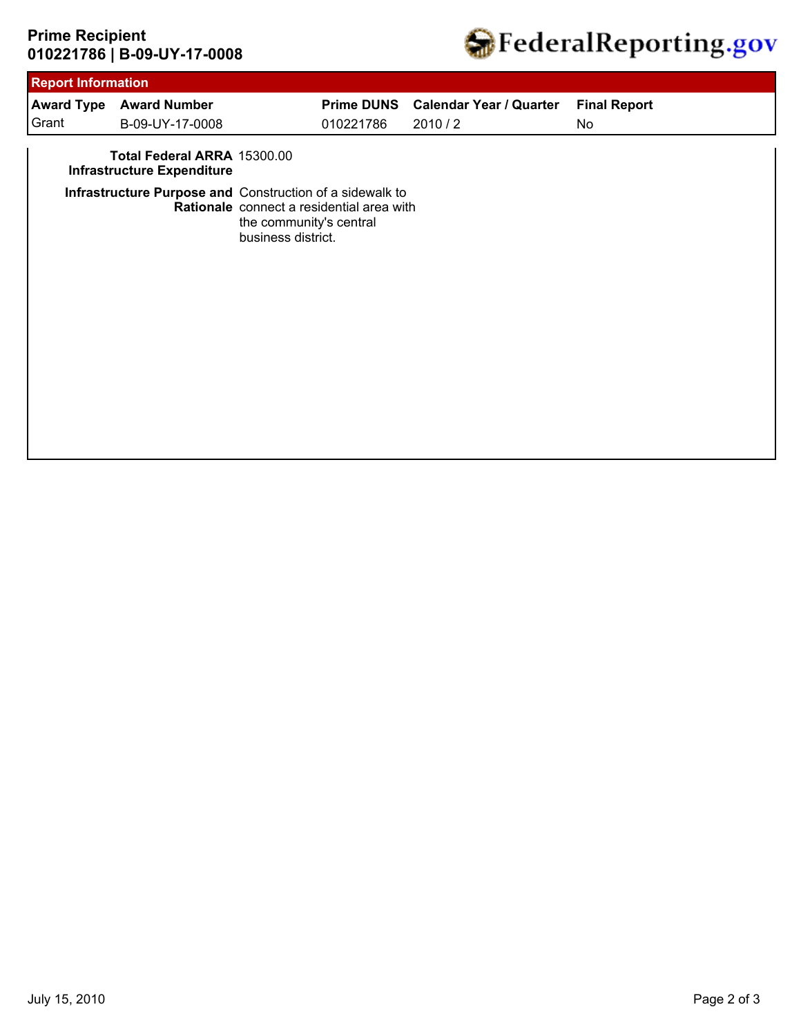# **010221786 | B-09-UY-17-0008 Prime Recipient**



| <b>Report Information</b> |                                                                  |                                               |                                           |                                |                     |
|---------------------------|------------------------------------------------------------------|-----------------------------------------------|-------------------------------------------|--------------------------------|---------------------|
|                           | <b>Award Type Award Number</b>                                   |                                               | <b>Prime DUNS</b>                         | <b>Calendar Year / Quarter</b> | <b>Final Report</b> |
| Grant                     | B-09-UY-17-0008                                                  |                                               | 010221786                                 | 2010/2                         | No                  |
|                           | Total Federal ARRA 15300.00<br><b>Infrastructure Expenditure</b> |                                               |                                           |                                |                     |
|                           | Infrastructure Purpose and Construction of a sidewalk to         | the community's central<br>business district. | Rationale connect a residential area with |                                |                     |
|                           |                                                                  |                                               |                                           |                                |                     |